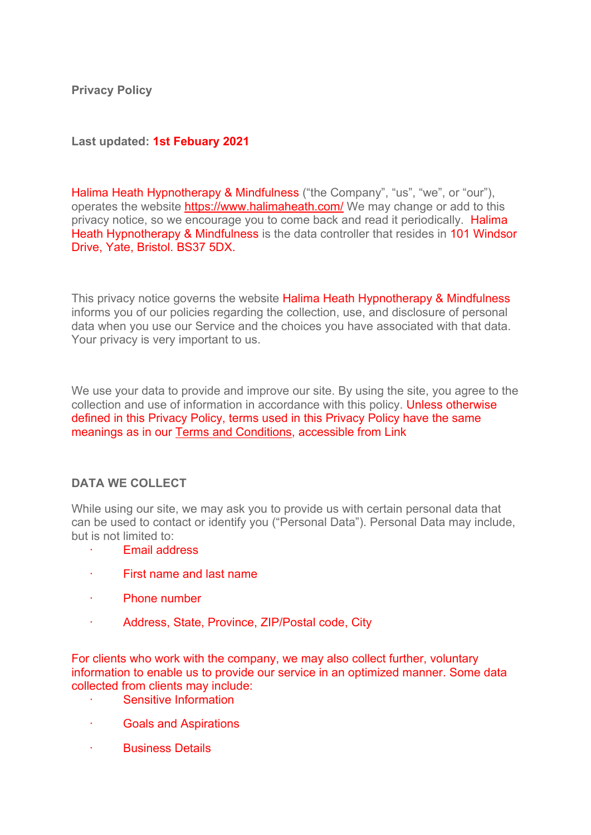**Privacy Policy**

**Last updated: 1st Febuary 2021**

Halima Heath Hypnotherapy & Mindfulness ("the Company", "us", "we", or "our"), operates the website<https://www.halimaheath.com/> We may change or add to this privacy notice, so we encourage you to come back and read it periodically. Halima Heath Hypnotherapy & Mindfulness is the data controller that resides in 101 Windsor Drive, Yate, Bristol. BS37 5DX.

This privacy notice governs the website Halima Heath Hypnotherapy & Mindfulness informs you of our policies regarding the collection, use, and disclosure of personal data when you use our Service and the choices you have associated with that data. Your privacy is very important to us.

We use your data to provide and improve our site. By using the site, you agree to the collection and use of information in accordance with this policy. Unless otherwise defined in this Privacy Policy, terms used in this Privacy Policy have the same meanings as in our Terms and Conditions, accessible from Link

## **DATA WE COLLECT**

While using our site, we may ask you to provide us with certain personal data that can be used to contact or identify you ("Personal Data"). Personal Data may include, but is not limited to:

- · Email address
- · First name and last name
- · Phone number
- · Address, State, Province, ZIP/Postal code, City

For clients who work with the company, we may also collect further, voluntary information to enable us to provide our service in an optimized manner. Some data collected from clients may include:

- Sensitive Information
- · Goals and Aspirations
- · Business Details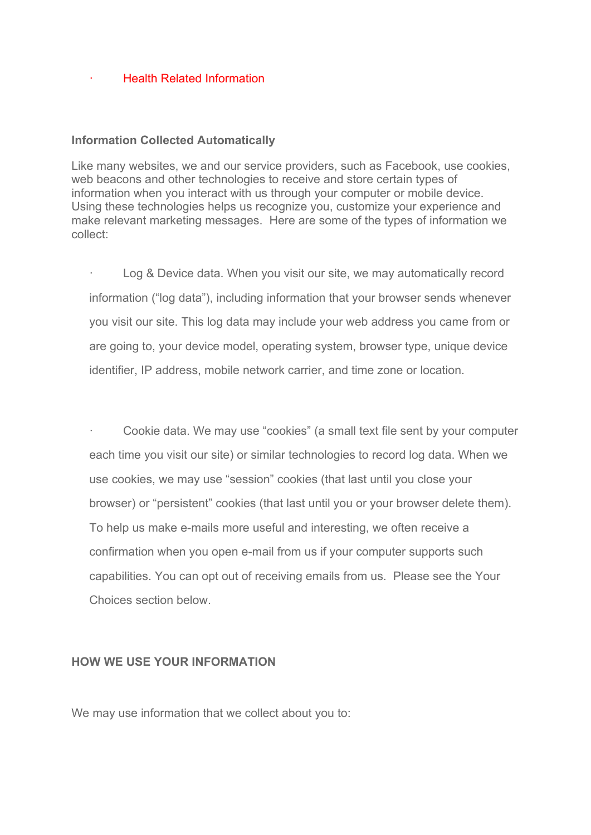### · Health Related Information

#### **Information Collected Automatically**

Like many websites, we and our service providers, such as Facebook, use cookies, web beacons and other technologies to receive and store certain types of information when you interact with us through your computer or mobile device. Using these technologies helps us recognize you, customize your experience and make relevant marketing messages. Here are some of the types of information we collect:

Log & Device data. When you visit our site, we may automatically record information ("log data"), including information that your browser sends whenever you visit our site. This log data may include your web address you came from or are going to, your device model, operating system, browser type, unique device identifier, IP address, mobile network carrier, and time zone or location.

· Cookie data. We may use "cookies" (a small text file sent by your computer each time you visit our site) or similar technologies to record log data. When we use cookies, we may use "session" cookies (that last until you close your browser) or "persistent" cookies (that last until you or your browser delete them). To help us make e-mails more useful and interesting, we often receive a confirmation when you open e-mail from us if your computer supports such capabilities. You can opt out of receiving emails from us. Please see the Your Choices section below.

### **HOW WE USE YOUR INFORMATION**

We may use information that we collect about you to: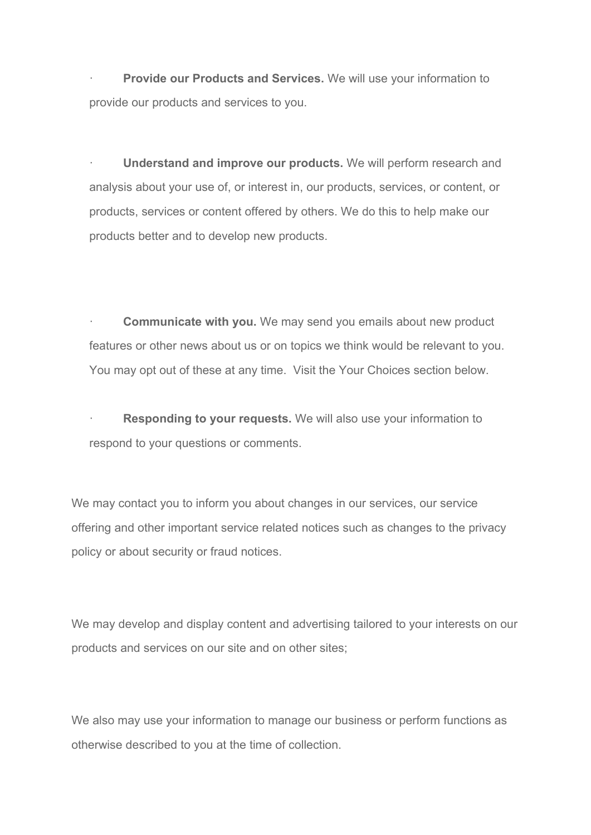Provide our Products and Services. We will use your information to provide our products and services to you.

· **Understand and improve our products.** We will perform research and analysis about your use of, or interest in, our products, services, or content, or products, services or content offered by others. We do this to help make our products better and to develop new products.

**Communicate with you.** We may send you emails about new product features or other news about us or on topics we think would be relevant to you. You may opt out of these at any time. Visit the Your Choices section below.

**Responding to your requests.** We will also use your information to respond to your questions or comments.

We may contact you to inform you about changes in our services, our service offering and other important service related notices such as changes to the privacy policy or about security or fraud notices.

We may develop and display content and advertising tailored to your interests on our products and services on our site and on other sites;

We also may use your information to manage our business or perform functions as otherwise described to you at the time of collection.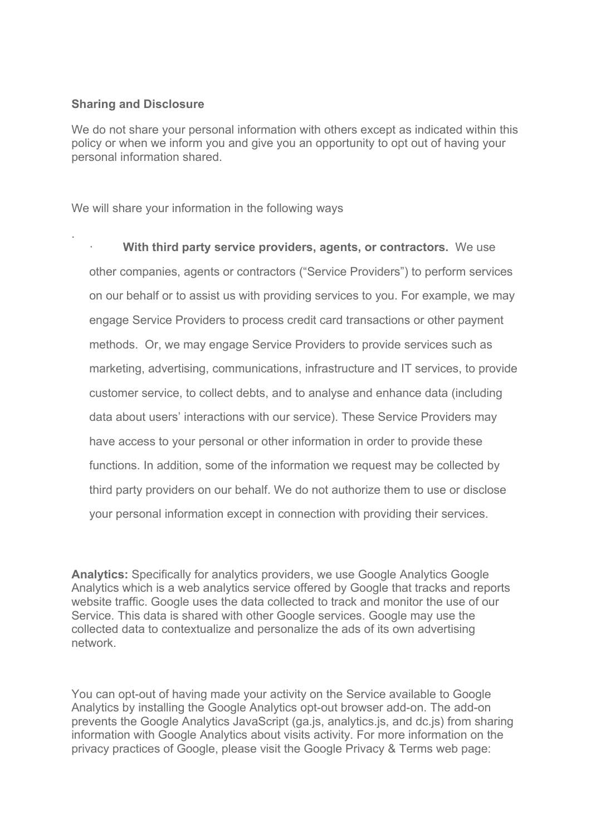### **Sharing and Disclosure**

.

We do not share your personal information with others except as indicated within this policy or when we inform you and give you an opportunity to opt out of having your personal information shared.

We will share your information in the following ways

**With third party service providers, agents, or contractors.** We use other companies, agents or contractors ("Service Providers") to perform services on our behalf or to assist us with providing services to you. For example, we may engage Service Providers to process credit card transactions or other payment methods. Or, we may engage Service Providers to provide services such as marketing, advertising, communications, infrastructure and IT services, to provide customer service, to collect debts, and to analyse and enhance data (including data about users' interactions with our service). These Service Providers may have access to your personal or other information in order to provide these functions. In addition, some of the information we request may be collected by third party providers on our behalf. We do not authorize them to use or disclose your personal information except in connection with providing their services.

**Analytics:** Specifically for analytics providers, we use Google Analytics Google Analytics which is a web analytics service offered by Google that tracks and reports website traffic. Google uses the data collected to track and monitor the use of our Service. This data is shared with other Google services. Google may use the collected data to contextualize and personalize the ads of its own advertising network.

You can opt-out of having made your activity on the Service available to Google Analytics by installing the Google Analytics opt-out browser add-on. The add-on prevents the Google Analytics JavaScript (ga.js, analytics.js, and dc.js) from sharing information with Google Analytics about visits activity. For more information on the privacy practices of Google, please visit the Google Privacy & Terms web page: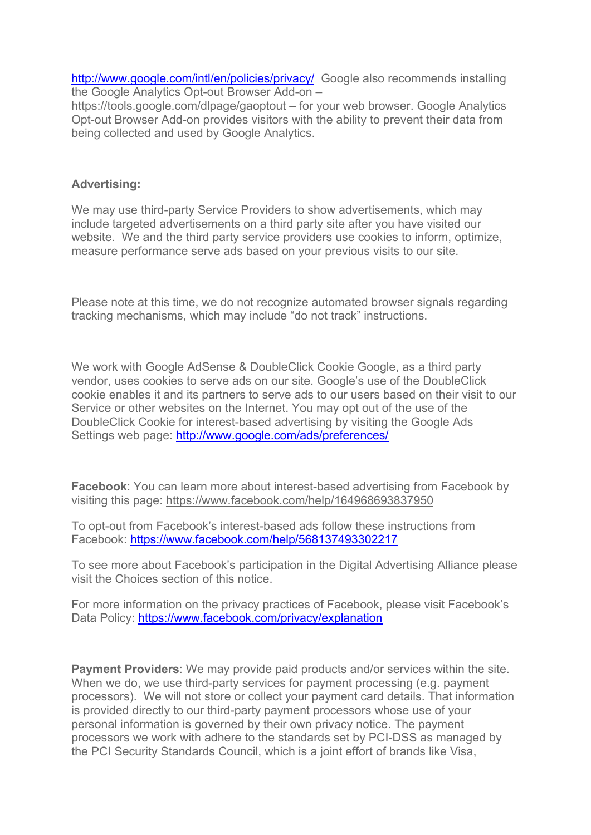<http://www.google.com/intl/en/policies/privacy/>Google also recommends installing the Google Analytics Opt-out Browser Add-on –

https://tools.google.com/dlpage/gaoptout – for your web browser. Google Analytics Opt-out Browser Add-on provides visitors with the ability to prevent their data from being collected and used by Google Analytics.

## **Advertising:**

We may use third-party Service Providers to show advertisements, which may include targeted advertisements on a third party site after you have visited our website. We and the third party service providers use cookies to inform, optimize, measure performance serve ads based on your previous visits to our site.

Please note at this time, we do not recognize automated browser signals regarding tracking mechanisms, which may include "do not track" instructions.

We work with Google AdSense & DoubleClick Cookie Google, as a third party vendor, uses cookies to serve ads on our site. Google's use of the DoubleClick cookie enables it and its partners to serve ads to our users based on their visit to our Service or other websites on the Internet. You may opt out of the use of the DoubleClick Cookie for interest-based advertising by visiting the Google Ads Settings web page:<http://www.google.com/ads/preferences/>

**Facebook**: You can learn more about interest-based advertising from Facebook by visiting this page:<https://www.facebook.com/help/164968693837950>

To opt-out from Facebook's interest-based ads follow these instructions from Facebook:<https://www.facebook.com/help/568137493302217>

To see more about Facebook's participation in the Digital Advertising Alliance please visit the Choices section of this notice.

For more information on the privacy practices of Facebook, please visit Facebook's Data Policy:<https://www.facebook.com/privacy/explanation>

**Payment Providers**: We may provide paid products and/or services within the site. When we do, we use third-party services for payment processing (e.g. payment processors). We will not store or collect your payment card details. That information is provided directly to our third-party payment processors whose use of your personal information is governed by their own privacy notice. The payment processors we work with adhere to the standards set by PCI-DSS as managed by the PCI Security Standards Council, which is a joint effort of brands like Visa,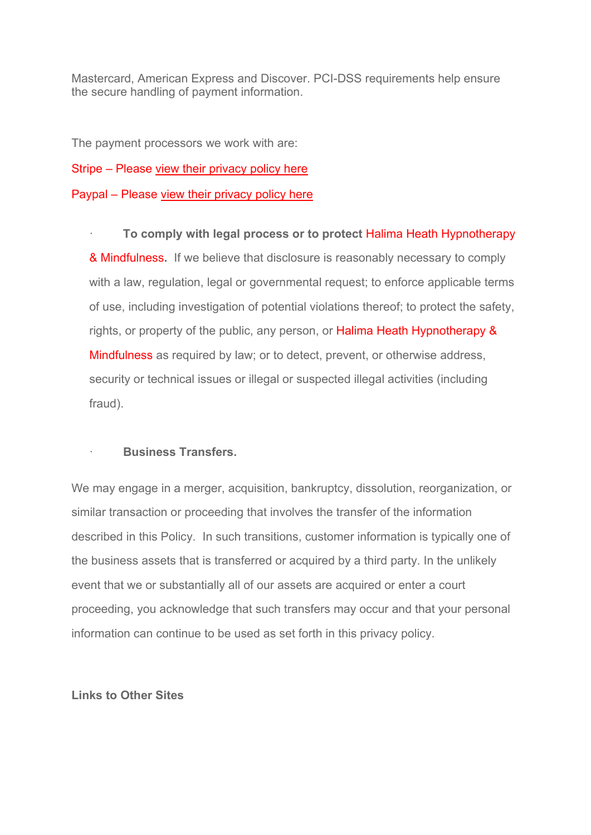Mastercard, American Express and Discover. PCI-DSS requirements help ensure the secure handling of payment information.

The payment processors we work with are:

Stripe – Please [view their privacy policy here](https://stripe.com/gb/privacy)

Paypal – Please [view their privacy policy here](https://www.paypal.com/uk/webapps/mpp/ua/privacy-prev)

· **To comply with legal process or to protect** Halima Heath Hypnotherapy & Mindfulness**.** If we believe that disclosure is reasonably necessary to comply with a law, regulation, legal or governmental request; to enforce applicable terms of use, including investigation of potential violations thereof; to protect the safety, rights, or property of the public, any person, or Halima Heath Hypnotherapy & Mindfulness as required by law; or to detect, prevent, or otherwise address, security or technical issues or illegal or suspected illegal activities (including fraud).

# · **Business Transfers.**

We may engage in a merger, acquisition, bankruptcy, dissolution, reorganization, or similar transaction or proceeding that involves the transfer of the information described in this Policy. In such transitions, customer information is typically one of the business assets that is transferred or acquired by a third party. In the unlikely event that we or substantially all of our assets are acquired or enter a court proceeding, you acknowledge that such transfers may occur and that your personal information can continue to be used as set forth in this privacy policy.

## **Links to Other Sites**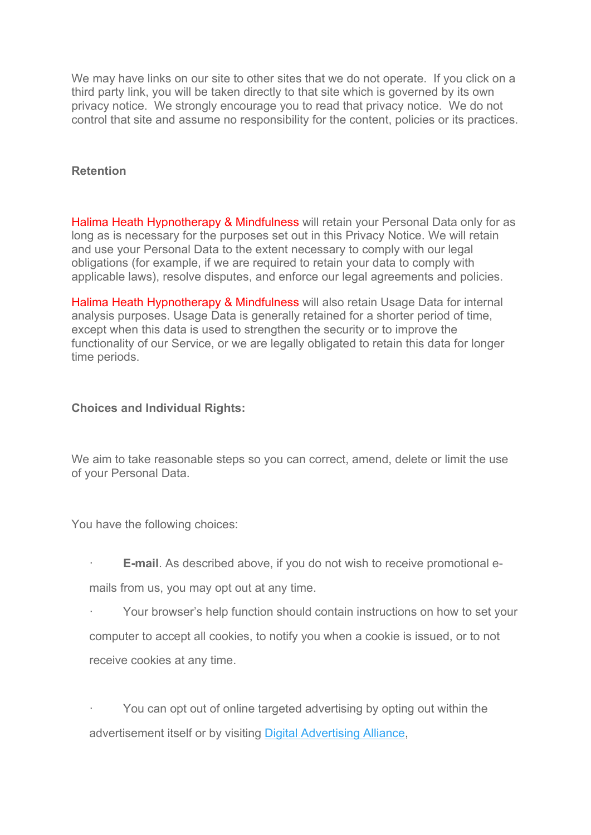We may have links on our site to other sites that we do not operate. If you click on a third party link, you will be taken directly to that site which is governed by its own privacy notice. We strongly encourage you to read that privacy notice. We do not control that site and assume no responsibility for the content, policies or its practices.

### **Retention**

Halima Heath Hypnotherapy & Mindfulness will retain your Personal Data only for as long as is necessary for the purposes set out in this Privacy Notice. We will retain and use your Personal Data to the extent necessary to comply with our legal obligations (for example, if we are required to retain your data to comply with applicable laws), resolve disputes, and enforce our legal agreements and policies.

Halima Heath Hypnotherapy & Mindfulness will also retain Usage Data for internal analysis purposes. Usage Data is generally retained for a shorter period of time, except when this data is used to strengthen the security or to improve the functionality of our Service, or we are legally obligated to retain this data for longer time periods.

### **Choices and Individual Rights:**

We aim to take reasonable steps so you can correct, amend, delete or limit the use of your Personal Data.

You have the following choices:

- **E-mail.** As described above, if you do not wish to receive promotional e-
- mails from us, you may opt out at any time.
- · Your browser's help function should contain instructions on how to set your computer to accept all cookies, to notify you when a cookie is issued, or to not receive cookies at any time.

You can opt out of online targeted advertising by opting out within the advertisement itself or by visiting [Digital Advertising Alliance,](http://www.aboutads.info/)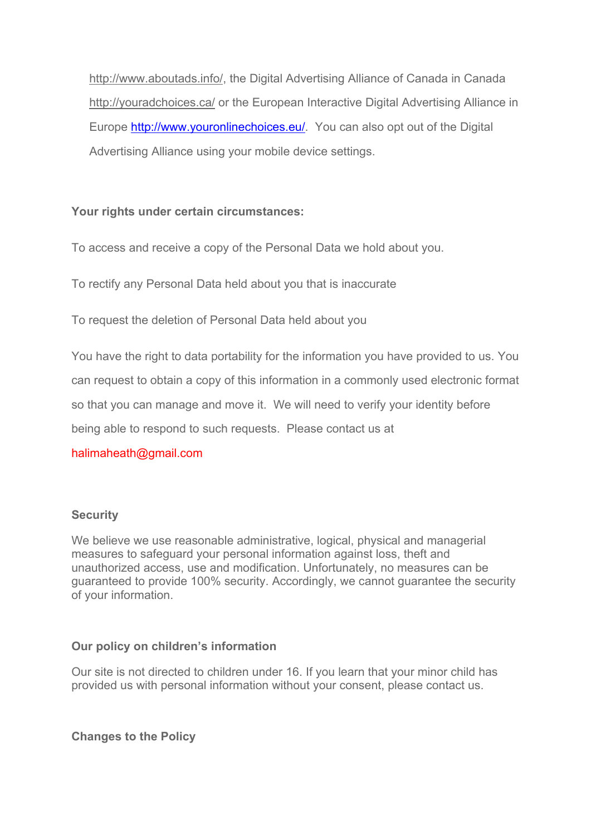[http://www.aboutads.info/,](http://www.aboutads.info/) the Digital Advertising Alliance of Canada in Canada <http://youradchoices.ca/> or the European Interactive Digital Advertising Alliance in Europe [http://www.youronlinechoices.eu/.](http://www.youronlinechoices.eu/) You can also opt out of the Digital Advertising Alliance using your mobile device settings.

# **Your rights under certain circumstances:**

To access and receive a copy of the Personal Data we hold about you.

To rectify any Personal Data held about you that is inaccurate

To request the deletion of Personal Data held about you

You have the right to data portability for the information you have provided to us. You can request to obtain a copy of this information in a commonly used electronic format so that you can manage and move it. We will need to verify your identity before being able to respond to such requests. Please contact us at

# halimaheath@gmail.com

# **Security**

We believe we use reasonable administrative, logical, physical and managerial measures to safeguard your personal information against loss, theft and unauthorized access, use and modification. Unfortunately, no measures can be guaranteed to provide 100% security. Accordingly, we cannot guarantee the security of your information.

# **Our policy on children's information**

Our site is not directed to children under 16. If you learn that your minor child has provided us with personal information without your consent, please contact us.

**Changes to the Policy**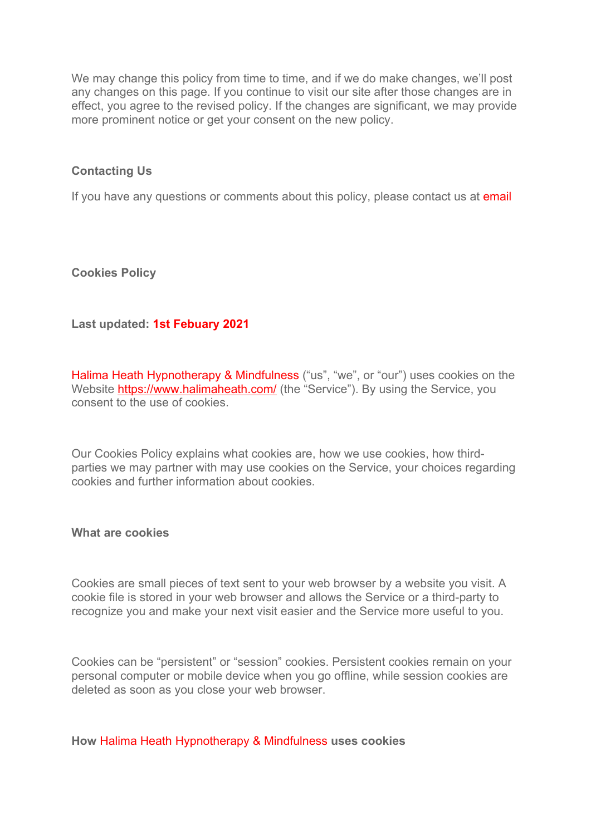We may change this policy from time to time, and if we do make changes, we'll post any changes on this page. If you continue to visit our site after those changes are in effect, you agree to the revised policy. If the changes are significant, we may provide more prominent notice or get your consent on the new policy.

### **Contacting Us**

If you have any questions or comments about this policy, please contact us at email

**Cookies Policy**

## **Last updated: 1st Febuary 2021**

Halima Heath Hypnotherapy & Mindfulness ("us", "we", or "our") uses cookies on the Website<https://www.halimaheath.com/> (the "Service"). By using the Service, you consent to the use of cookies.

Our Cookies Policy explains what cookies are, how we use cookies, how thirdparties we may partner with may use cookies on the Service, your choices regarding cookies and further information about cookies.

#### **What are cookies**

Cookies are small pieces of text sent to your web browser by a website you visit. A cookie file is stored in your web browser and allows the Service or a third-party to recognize you and make your next visit easier and the Service more useful to you.

Cookies can be "persistent" or "session" cookies. Persistent cookies remain on your personal computer or mobile device when you go offline, while session cookies are deleted as soon as you close your web browser.

**How** Halima Heath Hypnotherapy & Mindfulness **uses cookies**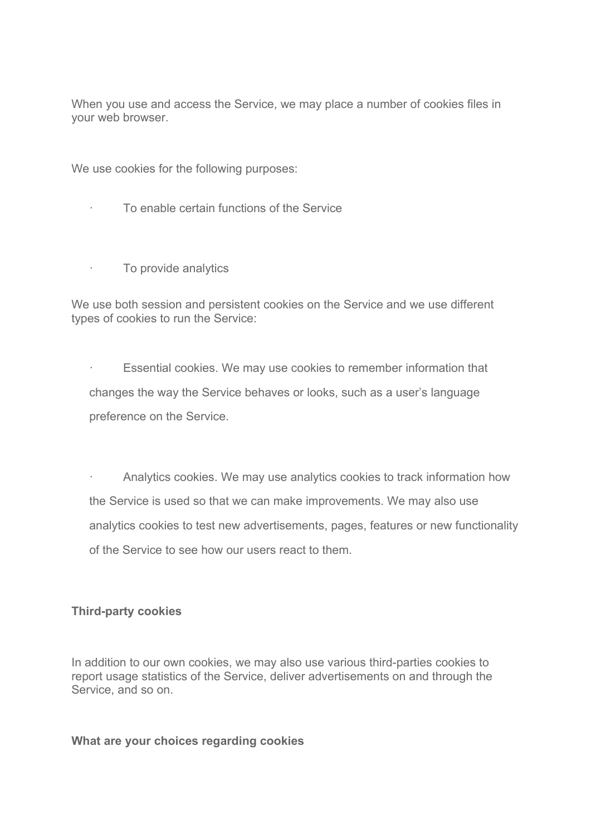When you use and access the Service, we may place a number of cookies files in your web browser.

We use cookies for the following purposes:

· To enable certain functions of the Service

· To provide analytics

We use both session and persistent cookies on the Service and we use different types of cookies to run the Service:

· Essential cookies. We may use cookies to remember information that changes the way the Service behaves or looks, such as a user's language preference on the Service.

Analytics cookies. We may use analytics cookies to track information how the Service is used so that we can make improvements. We may also use analytics cookies to test new advertisements, pages, features or new functionality of the Service to see how our users react to them.

## **Third-party cookies**

In addition to our own cookies, we may also use various third-parties cookies to report usage statistics of the Service, deliver advertisements on and through the Service, and so on.

#### **What are your choices regarding cookies**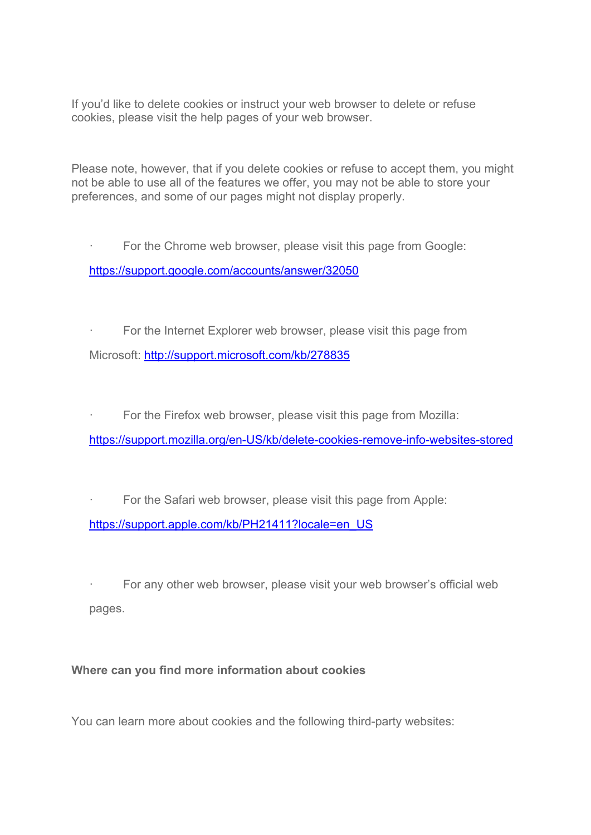If you'd like to delete cookies or instruct your web browser to delete or refuse cookies, please visit the help pages of your web browser.

Please note, however, that if you delete cookies or refuse to accept them, you might not be able to use all of the features we offer, you may not be able to store your preferences, and some of our pages might not display properly.

For the Chrome web browser, please visit this page from Google: <https://support.google.com/accounts/answer/32050>

· For the Internet Explorer web browser, please visit this page from Microsoft:<http://support.microsoft.com/kb/278835>

For the Firefox web browser, please visit this page from Mozilla:

<https://support.mozilla.org/en-US/kb/delete-cookies-remove-info-websites-stored>

For the Safari web browser, please visit this page from Apple: [https://support.apple.com/kb/PH21411?locale=en\\_US](https://support.apple.com/kb/PH21411?locale=en_US)

For any other web browser, please visit your web browser's official web pages.

## **Where can you find more information about cookies**

You can learn more about cookies and the following third-party websites: